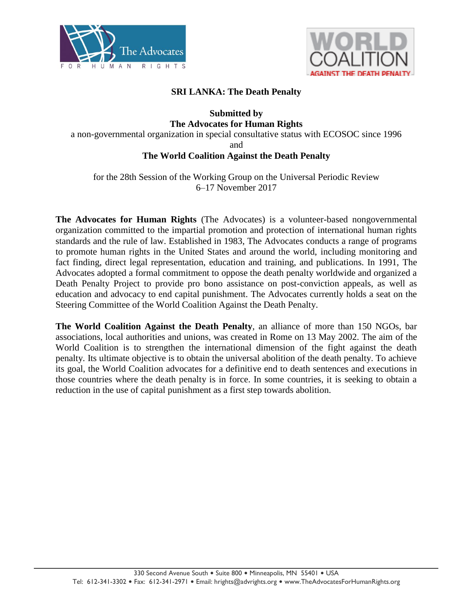



## **SRI LANKA: The Death Penalty**

## **Submitted by The Advocates for Human Rights**

a non-governmental organization in special consultative status with ECOSOC since 1996

and

## **The World Coalition Against the Death Penalty**

for the 28th Session of the Working Group on the Universal Periodic Review 6–17 November 2017

**The Advocates for Human Rights** (The Advocates) is a volunteer-based nongovernmental organization committed to the impartial promotion and protection of international human rights standards and the rule of law. Established in 1983, The Advocates conducts a range of programs to promote human rights in the United States and around the world, including monitoring and fact finding, direct legal representation, education and training, and publications. In 1991, The Advocates adopted a formal commitment to oppose the death penalty worldwide and organized a Death Penalty Project to provide pro bono assistance on post-conviction appeals, as well as education and advocacy to end capital punishment. The Advocates currently holds a seat on the Steering Committee of the World Coalition Against the Death Penalty.

**The World Coalition Against the Death Penalty**, an alliance of more than 150 NGOs, bar associations, local authorities and unions, was created in Rome on 13 May 2002. The aim of the World Coalition is to strengthen the international dimension of the fight against the death penalty. Its ultimate objective is to obtain the universal abolition of the death penalty. To achieve its goal, the World Coalition advocates for a definitive end to death sentences and executions in those countries where the death penalty is in force. In some countries, it is seeking to obtain a reduction in the use of capital punishment as a first step towards abolition.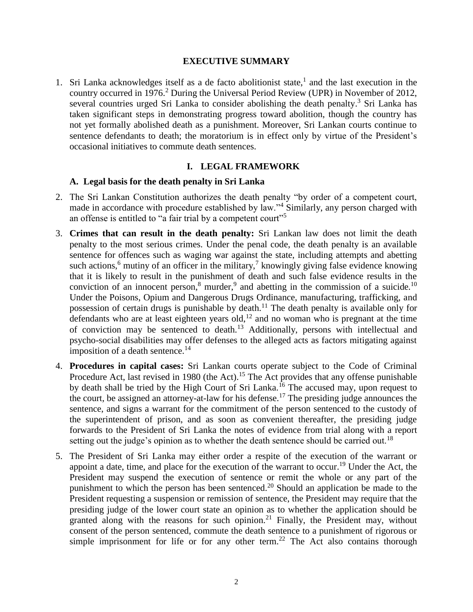### **EXECUTIVE SUMMARY**

1. Sri Lanka acknowledges itself as a de facto abolitionist state, $<sup>1</sup>$  and the last execution in the</sup> country occurred in 1976.<sup>2</sup> During the Universal Period Review (UPR) in November of 2012, several countries urged Sri Lanka to consider abolishing the death penalty.<sup>3</sup> Sri Lanka has taken significant steps in demonstrating progress toward abolition, though the country has not yet formally abolished death as a punishment. Moreover, Sri Lankan courts continue to sentence defendants to death; the moratorium is in effect only by virtue of the President's occasional initiatives to commute death sentences.

### **I. LEGAL FRAMEWORK**

### **A. Legal basis for the death penalty in Sri Lanka**

- 2. The Sri Lankan Constitution authorizes the death penalty "by order of a competent court, made in accordance with procedure established by law."<sup>4</sup> Similarly, any person charged with an offense is entitled to "a fair trial by a competent court"<sup>5</sup>
- 3. **Crimes that can result in the death penalty:** Sri Lankan law does not limit the death penalty to the most serious crimes. Under the penal code, the death penalty is an available sentence for offences such as waging war against the state, including attempts and abetting such actions,<sup>6</sup> mutiny of an officer in the military,<sup>7</sup> knowingly giving false evidence knowing that it is likely to result in the punishment of death and such false evidence results in the conviction of an innocent person, $8 \text{ murder}, 9$  and abetting in the commission of a suicide.<sup>10</sup> Under the Poisons, Opium and Dangerous Drugs Ordinance, manufacturing, trafficking, and possession of certain drugs is punishable by death.<sup>11</sup> The death penalty is available only for defendants who are at least eighteen years old,<sup>12</sup> and no woman who is pregnant at the time of conviction may be sentenced to death.<sup>13</sup> Additionally, persons with intellectual and psycho-social disabilities may offer defenses to the alleged acts as factors mitigating against imposition of a death sentence.<sup>14</sup>
- 4. **Procedures in capital cases:** Sri Lankan courts operate subject to the Code of Criminal Procedure Act, last revised in 1980 (the Act).<sup>15</sup> The Act provides that any offense punishable by death shall be tried by the High Court of Sri Lanka.<sup>16</sup> The accused may, upon request to the court, be assigned an attorney-at-law for his defense.<sup>17</sup> The presiding judge announces the sentence, and signs a warrant for the commitment of the person sentenced to the custody of the superintendent of prison, and as soon as convenient thereafter, the presiding judge forwards to the President of Sri Lanka the notes of evidence from trial along with a report setting out the judge's opinion as to whether the death sentence should be carried out.<sup>18</sup>
- 5. The President of Sri Lanka may either order a respite of the execution of the warrant or appoint a date, time, and place for the execution of the warrant to occur.<sup>19</sup> Under the Act, the President may suspend the execution of sentence or remit the whole or any part of the punishment to which the person has been sentenced.<sup>20</sup> Should an application be made to the President requesting a suspension or remission of sentence, the President may require that the presiding judge of the lower court state an opinion as to whether the application should be granted along with the reasons for such opinion.<sup>21</sup> Finally, the President may, without consent of the person sentenced, commute the death sentence to a punishment of rigorous or simple imprisonment for life or for any other term.<sup>22</sup> The Act also contains thorough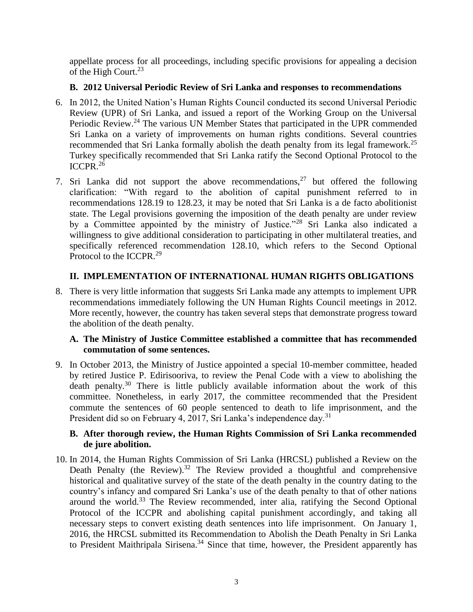appellate process for all proceedings, including specific provisions for appealing a decision of the High Court.<sup>23</sup>

## **B. 2012 Universal Periodic Review of Sri Lanka and responses to recommendations**

- 6. In 2012, the United Nation's Human Rights Council conducted its second Universal Periodic Review (UPR) of Sri Lanka, and issued a report of the Working Group on the Universal Periodic Review.<sup>24</sup> The various UN Member States that participated in the UPR commended Sri Lanka on a variety of improvements on human rights conditions. Several countries recommended that Sri Lanka formally abolish the death penalty from its legal framework.<sup>25</sup> Turkey specifically recommended that Sri Lanka ratify the Second Optional Protocol to the ICCPR. $2\overline{6}$
- 7. Sri Lanka did not support the above recommendations,  $27$  but offered the following clarification: "With regard to the abolition of capital punishment referred to in recommendations 128.19 to 128.23, it may be noted that Sri Lanka is a de facto abolitionist state. The Legal provisions governing the imposition of the death penalty are under review by a Committee appointed by the ministry of Justice."<sup>28</sup> Sri Lanka also indicated a willingness to give additional consideration to participating in other multilateral treaties, and specifically referenced recommendation 128.10, which refers to the Second Optional Protocol to the ICCPR.<sup>29</sup>

# **II. IMPLEMENTATION OF INTERNATIONAL HUMAN RIGHTS OBLIGATIONS**

8. There is very little information that suggests Sri Lanka made any attempts to implement UPR recommendations immediately following the UN Human Rights Council meetings in 2012. More recently, however, the country has taken several steps that demonstrate progress toward the abolition of the death penalty.

## **A. The Ministry of Justice Committee established a committee that has recommended commutation of some sentences.**

9. In October 2013, the Ministry of Justice appointed a special 10-member committee, headed by retired Justice P. Edirisooriva, to review the Penal Code with a view to abolishing the death penalty.<sup>30</sup> There is little publicly available information about the work of this committee. Nonetheless, in early 2017, the committee recommended that the President commute the sentences of 60 people sentenced to death to life imprisonment, and the President did so on February 4, 2017, Sri Lanka's independence day.<sup>31</sup>

## **B. After thorough review, the Human Rights Commission of Sri Lanka recommended de jure abolition.**

10. In 2014, the Human Rights Commission of Sri Lanka (HRCSL) published a Review on the Death Penalty (the Review).<sup>32</sup> The Review provided a thoughtful and comprehensive historical and qualitative survey of the state of the death penalty in the country dating to the country's infancy and compared Sri Lanka's use of the death penalty to that of other nations around the world.<sup>33</sup> The Review recommended, inter alia, ratifying the Second Optional Protocol of the ICCPR and abolishing capital punishment accordingly, and taking all necessary steps to convert existing death sentences into life imprisonment. On January 1, 2016, the HRCSL submitted its Recommendation to Abolish the Death Penalty in Sri Lanka to President Maithripala Sirisena.<sup>34</sup> Since that time, however, the President apparently has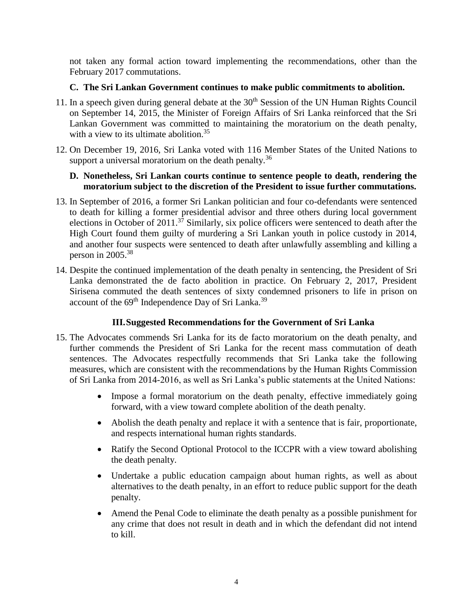not taken any formal action toward implementing the recommendations, other than the February 2017 commutations.

## **C. The Sri Lankan Government continues to make public commitments to abolition.**

- 11. In a speech given during general debate at the  $30<sup>th</sup>$  Session of the UN Human Rights Council on September 14, 2015, the Minister of Foreign Affairs of Sri Lanka reinforced that the Sri Lankan Government was committed to maintaining the moratorium on the death penalty, with a view to its ultimate abolition.<sup>35</sup>
- 12. On December 19, 2016, Sri Lanka voted with 116 Member States of the United Nations to support a universal moratorium on the death penalty.<sup>36</sup>

### **D. Nonetheless, Sri Lankan courts continue to sentence people to death, rendering the moratorium subject to the discretion of the President to issue further commutations.**

- 13. In September of 2016, a former Sri Lankan politician and four co-defendants were sentenced to death for killing a former presidential advisor and three others during local government elections in October of 2011.<sup>37</sup> Similarly, six police officers were sentenced to death after the High Court found them guilty of murdering a Sri Lankan youth in police custody in 2014, and another four suspects were sentenced to death after unlawfully assembling and killing a person in 2005.<sup>38</sup>
- 14. Despite the continued implementation of the death penalty in sentencing, the President of Sri Lanka demonstrated the de facto abolition in practice. On February 2, 2017, President Sirisena commuted the death sentences of sixty condemned prisoners to life in prison on account of the 69<sup>th</sup> Independence Day of Sri Lanka.<sup>39</sup>

# **III.Suggested Recommendations for the Government of Sri Lanka**

- 15. The Advocates commends Sri Lanka for its de facto moratorium on the death penalty, and further commends the President of Sri Lanka for the recent mass commutation of death sentences. The Advocates respectfully recommends that Sri Lanka take the following measures, which are consistent with the recommendations by the Human Rights Commission of Sri Lanka from 2014-2016, as well as Sri Lanka's public statements at the United Nations:
	- Impose a formal moratorium on the death penalty, effective immediately going forward, with a view toward complete abolition of the death penalty.
	- Abolish the death penalty and replace it with a sentence that is fair, proportionate, and respects international human rights standards.
	- Ratify the Second Optional Protocol to the ICCPR with a view toward abolishing the death penalty.
	- Undertake a public education campaign about human rights, as well as about alternatives to the death penalty, in an effort to reduce public support for the death penalty.
	- Amend the Penal Code to eliminate the death penalty as a possible punishment for any crime that does not result in death and in which the defendant did not intend to kill.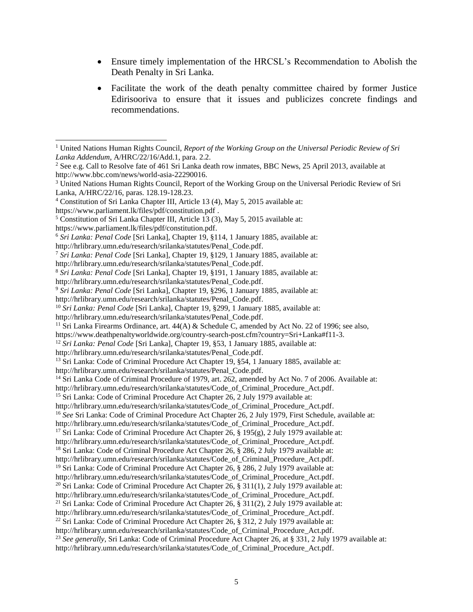- Ensure timely implementation of the HRCSL's Recommendation to Abolish the Death Penalty in Sri Lanka.
- Facilitate the work of the death penalty committee chaired by former Justice Edirisooriva to ensure that it issues and publicizes concrete findings and recommendations.

l

https://www.parliament.lk/files/pdf/constitution.pdf.

http://hrlibrary.umn.edu/research/srilanka/statutes/Code\_of\_Criminal\_Procedure\_Act.pdf.

<sup>15</sup> Sri Lanka: Code of Criminal Procedure Act Chapter 26, 2 July 1979 available at:

```
http://hrlibrary.umn.edu/research/srilanka/statutes/Code of Criminal Procedure Act.pdf.
```
<sup>16</sup> See Sri Lanka: Code of Criminal Procedure Act Chapter 26, 2 July 1979, First Schedule, available at:

<sup>17</sup> Sri Lanka: Code of Criminal Procedure Act Chapter 26, § 195(g), 2 July 1979 available at:

<sup>1</sup> United Nations Human Rights Council, *Report of the Working Group on the Universal Periodic Review of Sri Lanka Addendum*, A/HRC/22/16/Add.1, para. 2.2.

<sup>&</sup>lt;sup>2</sup> See e.g. Call to Resolve fate of 461 Sri Lanka death row inmates, BBC News, 25 April 2013, available at http://www.bbc.com/news/world-asia-22290016.

<sup>3</sup> United Nations Human Rights Council, Report of the Working Group on the Universal Periodic Review of Sri Lanka, A/HRC/22/16, paras. 128.19-128.23.

<sup>4</sup> Constitution of Sri Lanka Chapter III, Article 13 (4), May 5, 2015 available at:

https://www.parliament.lk/files/pdf/constitution.pdf .

<sup>5</sup> Constitution of Sri Lanka Chapter III, Article 13 (3), May 5, 2015 available at:

<sup>6</sup> *Sri Lanka: Penal Code* [Sri Lanka], Chapter 19, §114, 1 January 1885, available at: [http://hrlibrary.umn.edu/research/srilanka/statutes/Penal\\_Code.pdf.](http://hrlibrary.umn.edu/research/srilanka/statutes/Penal_Code.pdf)

<sup>7</sup> *Sri Lanka: Penal Code* [Sri Lanka], Chapter 19, §129, 1 January 1885, available at:

[http://hrlibrary.umn.edu/research/srilanka/statutes/Penal\\_Code.pdf.](http://hrlibrary.umn.edu/research/srilanka/statutes/Penal_Code.pdf)

<sup>8</sup> *Sri Lanka: Penal Code* [Sri Lanka], Chapter 19, §191, 1 January 1885, available at:

[http://hrlibrary.umn.edu/research/srilanka/statutes/Penal\\_Code.pdf.](http://hrlibrary.umn.edu/research/srilanka/statutes/Penal_Code.pdf)

<sup>9</sup> *Sri Lanka: Penal Code* [Sri Lanka], Chapter 19, §296, 1 January 1885, available at:

[http://hrlibrary.umn.edu/research/srilanka/statutes/Penal\\_Code.pdf.](http://hrlibrary.umn.edu/research/srilanka/statutes/Penal_Code.pdf)

<sup>&</sup>lt;sup>10</sup> *Sri Lanka: Penal Code* [Sri Lanka], Chapter 19, §299, 1 January 1885, available at:

[http://hrlibrary.umn.edu/research/srilanka/statutes/Penal\\_Code.pdf.](http://hrlibrary.umn.edu/research/srilanka/statutes/Penal_Code.pdf)

<sup>&</sup>lt;sup>11</sup> Sri Lanka Firearms Ordinance, art.  $44(A)$  & Schedule C, amended by Act No. 22 of 1996; see also,

https://www.deathpenaltyworldwide.org/country-search-post.cfm?country=Sri+Lanka#f11-3.

<sup>12</sup> *Sri Lanka: Penal Code* [Sri Lanka], Chapter 19, §53, 1 January 1885, available at:

[http://hrlibrary.umn.edu/research/srilanka/statutes/Penal\\_Code.pdf.](http://hrlibrary.umn.edu/research/srilanka/statutes/Penal_Code.pdf)

<sup>&</sup>lt;sup>13</sup> Sri Lanka: Code of Criminal Procedure Act Chapter 19, §54, 1 January 1885, available at:

[http://hrlibrary.umn.edu/research/srilanka/statutes/Penal\\_Code.pdf.](http://hrlibrary.umn.edu/research/srilanka/statutes/Penal_Code.pdf)

<sup>&</sup>lt;sup>14</sup> Sri Lanka Code of Criminal Procedure of 1979, art. 262, amended by Act No. 7 of 2006. Available at:

http://hrlibrary.umn.edu/research/srilanka/statutes/Code\_of\_Criminal\_Procedure\_Act.pdf.

http://hrlibrary.umn.edu/research/srilanka/statutes/Code\_of\_Criminal\_Procedure\_Act.pdf.

<sup>&</sup>lt;sup>18</sup> Sri Lanka: Code of Criminal Procedure Act Chapter 26, § 286, 2 July 1979 available at:

http://hrlibrary.umn.edu/research/srilanka/statutes/Code\_of\_Criminal\_Procedure\_Act.pdf.

<sup>&</sup>lt;sup>19</sup> Sri Lanka: Code of Criminal Procedure Act Chapter 26, § 286, 2 July 1979 available at:

http://hrlibrary.umn.edu/research/srilanka/statutes/Code\_of\_Criminal\_Procedure\_Act.pdf.

<sup>&</sup>lt;sup>20</sup> Sri Lanka: Code of Criminal Procedure Act Chapter 26, § 311(1), 2 July 1979 available at:

http://hrlibrary.umn.edu/research/srilanka/statutes/Code\_of\_Criminal\_Procedure\_Act.pdf. <sup>21</sup> Sri Lanka: Code of Criminal Procedure Act Chapter 26,  $\S$  311(2), 2 July 1979 available at:

http://hrlibrary.umn.edu/research/srilanka/statutes/Code\_of\_Criminal\_Procedure\_Act.pdf.

<sup>&</sup>lt;sup>22</sup> Sri Lanka: Code of Criminal Procedure Act Chapter 26,  $\S 312$ , 2 July 1979 available at:

http://hrlibrary.umn.edu/research/srilanka/statutes/Code of Criminal Procedure Act.pdf.

<sup>23</sup> *See generally,* Sri Lanka: Code of Criminal Procedure Act Chapter 26, at § 331, 2 July 1979 available at: http://hrlibrary.umn.edu/research/srilanka/statutes/Code of Criminal Procedure Act.pdf.